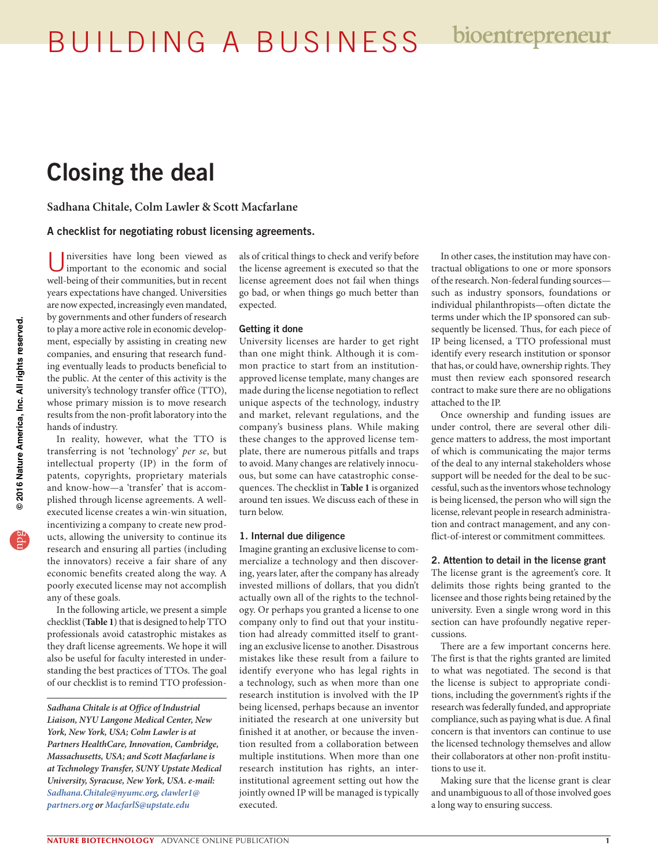BUILDING A BUSINESS

# Closing the deal

**Sadhana Chitale, Colm Lawler & Scott Macfarlane**

### A checklist for negotiating robust licensing agreements.

niversities have long been viewed as important to the economic and social well-being of their communities, but in recent years expectations have changed. Universities are now expected, increasingly even mandated, by governments and other funders of research to play a more active role in economic development, especially by assisting in creating new companies, and ensuring that research funding eventually leads to products beneficial to the public. At the center of this activity is the university's technology transfer office (TTO), whose primary mission is to move research results from the non-profit laboratory into the hands of industry.

In reality, however, what the TTO is transferring is not 'technology' *per se*, but intellectual property (IP) in the form of patents, copyrights, proprietary materials and know-how—a 'transfer' that is accomplished through license agreements. A wellexecuted license creates a win-win situation, incentivizing a company to create new products, allowing the university to continue its research and ensuring all parties (including the innovators) receive a fair share of any economic benefits created along the way. A poorly executed license may not accomplish any of these goals.

In the following article, we present a simple checklist (**Table 1**) that is designed to help TTO professionals avoid catastrophic mistakes as they draft license agreements. We hope it will also be useful for faculty interested in understanding the best practices of TTOs. The goal of our checklist is to remind TTO professionals of critical things to check and verify before the license agreement is executed so that the license agreement does not fail when things go bad, or when things go much better than expected.

### Getting it done

University licenses are harder to get right than one might think. Although it is common practice to start from an institutionapproved license template, many changes are made during the license negotiation to reflect unique aspects of the technology, industry and market, relevant regulations, and the company's business plans. While making these changes to the approved license template, there are numerous pitfalls and traps to avoid. Many changes are relatively innocuous, but some can have catastrophic consequences. The checklist in **Table 1** is organized around ten issues. We discuss each of these in turn below.

#### 1. Internal due diligence

Imagine granting an exclusive license to commercialize a technology and then discovering, years later, after the company has already invested millions of dollars, that you didn't actually own all of the rights to the technology. Or perhaps you granted a license to one company only to find out that your institution had already committed itself to granting an exclusive license to another. Disastrous mistakes like these result from a failure to identify everyone who has legal rights in a technology, such as when more than one research institution is involved with the IP being licensed, perhaps because an inventor initiated the research at one university but finished it at another, or because the invention resulted from a collaboration between multiple institutions. When more than one research institution has rights, an interinstitutional agreement setting out how the jointly owned IP will be managed is typically executed.

In other cases, the institution may have contractual obligations to one or more sponsors of the research. Non-federal funding sources such as industry sponsors, foundations or individual philanthropists—often dictate the terms under which the IP sponsored can subsequently be licensed. Thus, for each piece of IP being licensed, a TTO professional must identify every research institution or sponsor that has, or could have, ownership rights. They must then review each sponsored research contract to make sure there are no obligations attached to the IP.

Once ownership and funding issues are under control, there are several other diligence matters to address, the most important of which is communicating the major terms of the deal to any internal stakeholders whose support will be needed for the deal to be successful, such as the inventors whose technology is being licensed, the person who will sign the license, relevant people in research administration and contract management, and any conflict-of-interest or commitment committees.

## 2. Attention to detail in the license grant

The license grant is the agreement's core. It delimits those rights being granted to the licensee and those rights being retained by the university. Even a single wrong word in this section can have profoundly negative repercussions.

There are a few important concerns here. The first is that the rights granted are limited to what was negotiated. The second is that the license is subject to appropriate conditions, including the government's rights if the research was federally funded, and appropriate compliance, such as paying what is due. A final concern is that inventors can continue to use the licensed technology themselves and allow their collaborators at other non-profit institutions to use it.

Making sure that the license grant is clear and unambiguous to all of those involved goes a long way to ensuring success.

*Sadhana Chitale is at Office of Industrial Liaison, NYU Langone Medical Center, New York, New York, USA; Colm Lawler is at Partners HealthCare, Innovation, Cambridge, Massachusetts, USA; and Scott Macfarlane is at Technology Transfer, SUNY Upstate Medical University, Syracuse, New York, USA. e-mail: [Sadhana.Chitale@nyumc.org,](mailto:Sadhana.Chitale@nyumc.org) clawler1@ partners.org or MacfarlS@upstate.edu*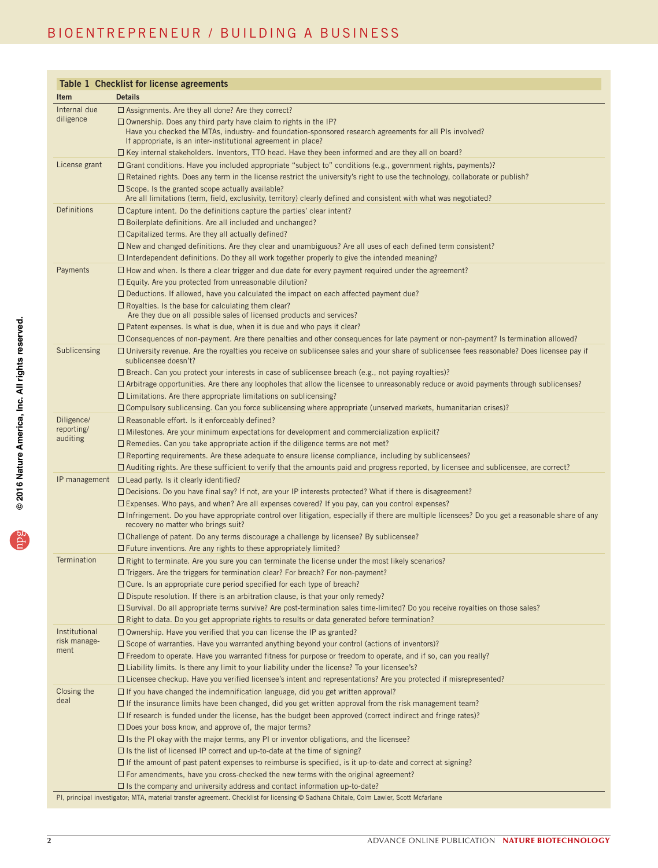# BIOENTREPRENEUR / BUILDING A BUSINESS

| Table 1 Checklist for license agreements |                                                                                                                                                                                                                                                                                                                                                                                                                                                                                                                                                                                                                                                                                                                                                                                                                                                                                                                                                                                                                                |  |
|------------------------------------------|--------------------------------------------------------------------------------------------------------------------------------------------------------------------------------------------------------------------------------------------------------------------------------------------------------------------------------------------------------------------------------------------------------------------------------------------------------------------------------------------------------------------------------------------------------------------------------------------------------------------------------------------------------------------------------------------------------------------------------------------------------------------------------------------------------------------------------------------------------------------------------------------------------------------------------------------------------------------------------------------------------------------------------|--|
| <b>Item</b>                              | <b>Details</b>                                                                                                                                                                                                                                                                                                                                                                                                                                                                                                                                                                                                                                                                                                                                                                                                                                                                                                                                                                                                                 |  |
| Internal due<br>diligence                | $\Box$ Assignments. Are they all done? Are they correct?<br>$\Box$ Ownership. Does any third party have claim to rights in the IP?<br>Have you checked the MTAs, industry- and foundation-sponsored research agreements for all PIs involved?<br>If appropriate, is an inter-institutional agreement in place?<br>□ Key internal stakeholders. Inventors, TTO head. Have they been informed and are they all on board?                                                                                                                                                                                                                                                                                                                                                                                                                                                                                                                                                                                                         |  |
| License grant                            | $\Box$ Grant conditions. Have you included appropriate "subject to" conditions (e.g., government rights, payments)?<br>$\Box$ Retained rights. Does any term in the license restrict the university's right to use the technology, collaborate or publish?<br>$\Box$ Scope. Is the granted scope actually available?<br>Are all limitations (term, field, exclusivity, territory) clearly defined and consistent with what was negotiated?                                                                                                                                                                                                                                                                                                                                                                                                                                                                                                                                                                                     |  |
| Definitions                              | $\Box$ Capture intent. Do the definitions capture the parties' clear intent?<br>$\square$ Boilerplate definitions. Are all included and unchanged?<br>$\Box$ Capitalized terms. Are they all actually defined?<br>$\Box$ New and changed definitions. Are they clear and unambiguous? Are all uses of each defined term consistent?<br>$\Box$ Interdependent definitions. Do they all work together properly to give the intended meaning?                                                                                                                                                                                                                                                                                                                                                                                                                                                                                                                                                                                     |  |
| Payments                                 | $\Box$ How and when. Is there a clear trigger and due date for every payment required under the agreement?<br>$\Box$ Equity. Are you protected from unreasonable dilution?<br>$\Box$ Deductions. If allowed, have you calculated the impact on each affected payment due?<br>$\Box$ Royalties. Is the base for calculating them clear?<br>Are they due on all possible sales of licensed products and services?<br>$\Box$ Patent expenses. Is what is due, when it is due and who pays it clear?<br>$\Box$ Consequences of non-payment. Are there penalties and other consequences for late payment or non-payment? Is termination allowed?                                                                                                                                                                                                                                                                                                                                                                                    |  |
| Sublicensing                             | $\Box$ University revenue. Are the royalties you receive on sublicensee sales and your share of sublicensee fees reasonable? Does licensee pay if<br>sublicensee doesn't?<br>$\Box$ Breach. Can you protect your interests in case of sublicensee breach (e.g., not paying royalties)?<br>$\Box$ Arbitrage opportunities. Are there any loopholes that allow the licensee to unreasonably reduce or avoid payments through sublicenses?<br>$\Box$ Limitations. Are there appropriate limitations on sublicensing?<br>$\Box$ Compulsory sublicensing. Can you force sublicensing where appropriate (unserved markets, humanitarian crises)?                                                                                                                                                                                                                                                                                                                                                                                     |  |
| Diligence/<br>reporting/<br>auditing     | $\Box$ Reasonable effort. Is it enforceably defined?<br>$\Box$ Milestones. Are your minimum expectations for development and commercialization explicit?<br>$\Box$ Remedies. Can you take appropriate action if the diligence terms are not met?<br>$\Box$ Reporting requirements. Are these adequate to ensure license compliance, including by sublicensees?<br>$\Box$ Auditing rights. Are these sufficient to verify that the amounts paid and progress reported, by licensee and sublicensee, are correct?                                                                                                                                                                                                                                                                                                                                                                                                                                                                                                                |  |
| IP management                            | $\Box$ Lead party. Is it clearly identified?<br>$\Box$ Decisions. Do you have final say? If not, are your IP interests protected? What if there is disagreement?<br>$\Box$ Expenses. Who pays, and when? Are all expenses covered? If you pay, can you control expenses?<br>$\Box$ Infringement. Do you have appropriate control over litigation, especially if there are multiple licensees? Do you get a reasonable share of any<br>recovery no matter who brings suit?<br>$\Box$ Challenge of patent. Do any terms discourage a challenge by licensee? By sublicensee?<br>$\Box$ Future inventions. Are any rights to these appropriately limited?                                                                                                                                                                                                                                                                                                                                                                          |  |
| Termination                              | $\Box$ Right to terminate. Are you sure you can terminate the license under the most likely scenarios?<br>$\Box$ Triggers. Are the triggers for termination clear? For breach? For non-payment?<br>$\Box$ Cure. Is an appropriate cure period specified for each type of breach?<br>$\Box$ Dispute resolution. If there is an arbitration clause, is that your only remedy?<br>$\Box$ Survival. Do all appropriate terms survive? Are post-termination sales time-limited? Do you receive royalties on those sales?<br>$\Box$ Right to data. Do you get appropriate rights to results or data generated before termination?                                                                                                                                                                                                                                                                                                                                                                                                    |  |
| Institutional<br>risk manage-<br>ment    | $\Box$ Ownership. Have you verified that you can license the IP as granted?<br>$\Box$ Scope of warranties. Have you warranted anything beyond your control (actions of inventors)?<br>$\Box$ Freedom to operate. Have you warranted fitness for purpose or freedom to operate, and if so, can you really?<br>$\Box$ Liability limits. Is there any limit to your liability under the license? To your licensee's?<br>$\Box$ Licensee checkup. Have you verified licensee's intent and representations? Are you protected if misrepresented?                                                                                                                                                                                                                                                                                                                                                                                                                                                                                    |  |
| Closing the<br>deal                      | $\Box$ If you have changed the indemnification language, did you get written approval?<br>$\Box$ If the insurance limits have been changed, did you get written approval from the risk management team?<br>$\Box$ If research is funded under the license, has the budget been approved (correct indirect and fringe rates)?<br>$\Box$ Does your boss know, and approve of, the major terms?<br>$\Box$ Is the PI okay with the major terms, any PI or inventor obligations, and the licensee?<br>$\Box$ is the list of licensed IP correct and up-to-date at the time of signing?<br>$\Box$ If the amount of past patent expenses to reimburse is specified, is it up-to-date and correct at signing?<br>$\Box$ For amendments, have you cross-checked the new terms with the original agreement?<br>$\Box$ is the company and university address and contact information up-to-date?<br>PI, principal investigator; MTA, material transfer agreement. Checklist for licensing @ Sadhana Chitale, Colm Lawler, Scott Mcfarlane |  |

eper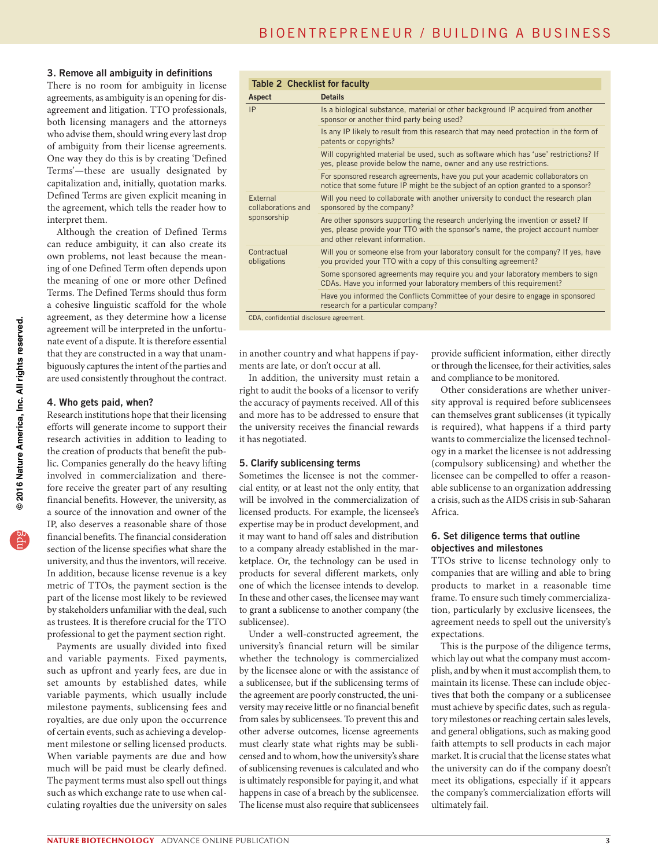## 3. Remove all ambiguity in definitions

There is no room for ambiguity in license agreements, as ambiguity is an opening for disagreement and litigation. TTO professionals, both licensing managers and the attorneys who advise them, should wring every last drop of ambiguity from their license agreements. One way they do this is by creating 'Defined Terms'—these are usually designated by capitalization and, initially, quotation marks. Defined Terms are given explicit meaning in the agreement, which tells the reader how to interpret them.

Although the creation of Defined Terms can reduce ambiguity, it can also create its own problems, not least because the meaning of one Defined Term often depends upon the meaning of one or more other Defined Terms. The Defined Terms should thus form a cohesive linguistic scaffold for the whole agreement, as they determine how a license agreement will be interpreted in the unfortunate event of a dispute. It is therefore essential that they are constructed in a way that unambiguously captures the intent of the parties and are used consistently throughout the contract.

#### 4. Who gets paid, when?

Research institutions hope that their licensing efforts will generate income to support their research activities in addition to leading to the creation of products that benefit the public. Companies generally do the heavy lifting involved in commercialization and therefore receive the greater part of any resulting financial benefits. However, the university, as a source of the innovation and owner of the IP, also deserves a reasonable share of those financial benefits. The financial consideration section of the license specifies what share the university, and thus the inventors, will receive. In addition, because license revenue is a key metric of TTOs, the payment section is the part of the license most likely to be reviewed by stakeholders unfamiliar with the deal, such as trustees. It is therefore crucial for the TTO professional to get the payment section right.

Payments are usually divided into fixed and variable payments. Fixed payments, such as upfront and yearly fees, are due in set amounts by established dates, while variable payments, which usually include milestone payments, sublicensing fees and royalties, are due only upon the occurrence of certain events, such as achieving a development milestone or selling licensed products. When variable payments are due and how much will be paid must be clearly defined. The payment terms must also spell out things such as which exchange rate to use when calculating royalties due the university on sales

| <b>Table 2 Checklist for faculty</b>    |                                                                                                                                                                                                         |  |
|-----------------------------------------|---------------------------------------------------------------------------------------------------------------------------------------------------------------------------------------------------------|--|
| Aspect                                  | <b>Details</b>                                                                                                                                                                                          |  |
| IP                                      | Is a biological substance, material or other background IP acquired from another<br>sponsor or another third party being used?                                                                          |  |
|                                         | Is any IP likely to result from this research that may need protection in the form of<br>patents or copyrights?                                                                                         |  |
|                                         | Will copyrighted material be used, such as software which has 'use' restrictions? If<br>yes, please provide below the name, owner and any use restrictions.                                             |  |
|                                         | For sponsored research agreements, have you put your academic collaborators on<br>notice that some future IP might be the subject of an option granted to a sponsor?                                    |  |
| External<br>collaborations and          | Will you need to collaborate with another university to conduct the research plan<br>sponsored by the company?                                                                                          |  |
| sponsorship                             | Are other sponsors supporting the research underlying the invention or asset? If<br>yes, please provide your TTO with the sponsor's name, the project account number<br>and other relevant information. |  |
| Contractual<br>obligations              | Will you or someone else from your laboratory consult for the company? If yes, have<br>you provided your TTO with a copy of this consulting agreement?                                                  |  |
|                                         | Some sponsored agreements may require you and your laboratory members to sign<br>CDAs. Have you informed your laboratory members of this requirement?                                                   |  |
|                                         | Have you informed the Conflicts Committee of your desire to engage in sponsored<br>research for a particular company?                                                                                   |  |
| CDA, confidential disclosure agreement. |                                                                                                                                                                                                         |  |

in another country and what happens if payments are late, or don't occur at all.

In addition, the university must retain a right to audit the books of a licensor to verify the accuracy of payments received. All of this and more has to be addressed to ensure that the university receives the financial rewards it has negotiated.

# 5. Clarify sublicensing terms

Sometimes the licensee is not the commercial entity, or at least not the only entity, that will be involved in the commercialization of licensed products. For example, the licensee's expertise may be in product development, and it may want to hand off sales and distribution to a company already established in the marketplace. Or, the technology can be used in products for several different markets, only one of which the licensee intends to develop. In these and other cases, the licensee may want to grant a sublicense to another company (the sublicensee).

Under a well-constructed agreement, the university's financial return will be similar whether the technology is commercialized by the licensee alone or with the assistance of a sublicensee, but if the sublicensing terms of the agreement are poorly constructed, the university may receive little or no financial benefit from sales by sublicensees. To prevent this and other adverse outcomes, license agreements must clearly state what rights may be sublicensed and to whom, how the university's share of sublicensing revenues is calculated and who is ultimately responsible for paying it, and what happens in case of a breach by the sublicensee. The license must also require that sublicensees

provide sufficient information, either directly or through the licensee, for their activities, sales and compliance to be monitored.

Other considerations are whether university approval is required before sublicensees can themselves grant sublicenses (it typically is required), what happens if a third party wants to commercialize the licensed technology in a market the licensee is not addressing (compulsory sublicensing) and whether the licensee can be compelled to offer a reasonable sublicense to an organization addressing a crisis, such as the AIDS crisis in sub-Saharan Africa.

## 6. Set diligence terms that outline objectives and milestones

TTOs strive to license technology only to companies that are willing and able to bring products to market in a reasonable time frame. To ensure such timely commercialization, particularly by exclusive licensees, the agreement needs to spell out the university's expectations.

This is the purpose of the diligence terms, which lay out what the company must accomplish, and by when it must accomplish them, to maintain its license. These can include objectives that both the company or a sublicensee must achieve by specific dates, such as regulatory milestones or reaching certain sales levels, and general obligations, such as making good faith attempts to sell products in each major market. It is crucial that the license states what the university can do if the company doesn't meet its obligations, especially if it appears the company's commercialization efforts will ultimately fail.